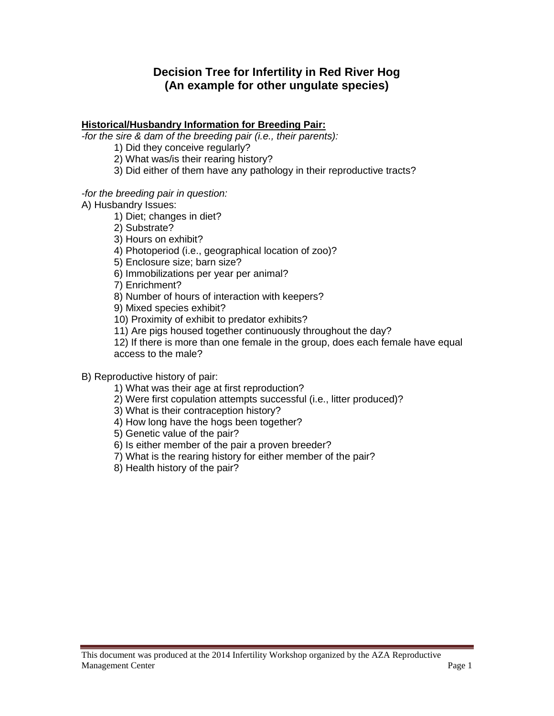# **Decision Tree for Infertility in Red River Hog (An example for other ungulate species)**

#### **Historical/Husbandry Information for Breeding Pair:**

*-for the sire & dam of the breeding pair (i.e., their parents):* 

1) Did they conceive regularly?

2) What was/is their rearing history?

3) Did either of them have any pathology in their reproductive tracts?

*-for the breeding pair in question:* 

A) Husbandry Issues:

1) Diet; changes in diet?

2) Substrate?

3) Hours on exhibit?

4) Photoperiod (i.e., geographical location of zoo)?

5) Enclosure size; barn size?

6) Immobilizations per year per animal?

7) Enrichment?

8) Number of hours of interaction with keepers?

9) Mixed species exhibit?

10) Proximity of exhibit to predator exhibits?

11) Are pigs housed together continuously throughout the day?

12) If there is more than one female in the group, does each female have equal access to the male?

#### B) Reproductive history of pair:

1) What was their age at first reproduction?

2) Were first copulation attempts successful (i.e., litter produced)?

3) What is their contraception history?

4) How long have the hogs been together?

5) Genetic value of the pair?

6) Is either member of the pair a proven breeder?

7) What is the rearing history for either member of the pair?

8) Health history of the pair?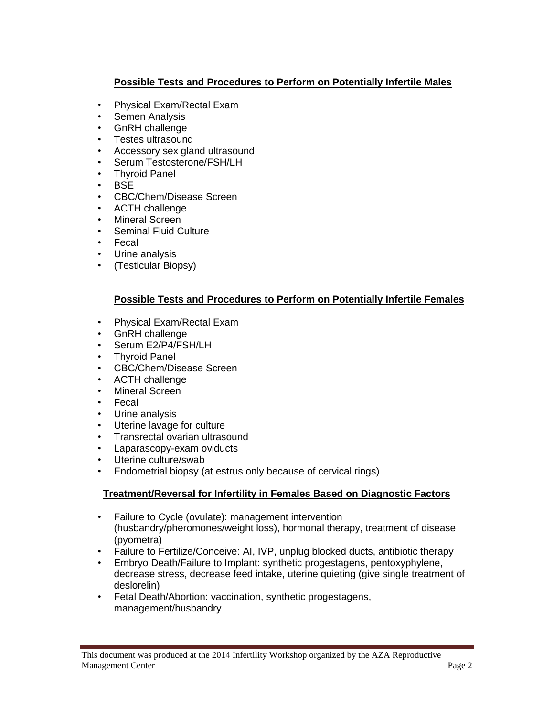## **Possible Tests and Procedures to Perform on Potentially Infertile Males**

- Physical Exam/Rectal Exam
- Semen Analysis
- GnRH challenge
- Testes ultrasound
- Accessory sex gland ultrasound
- Serum Testosterone/FSH/LH
- Thyroid Panel
- BSE
- CBC/Chem/Disease Screen
- ACTH challenge
- Mineral Screen
- Seminal Fluid Culture
- Fecal
- Urine analysis
- (Testicular Biopsy)

#### **Possible Tests and Procedures to Perform on Potentially Infertile Females**

- Physical Exam/Rectal Exam
- GnRH challenge
- Serum E2/P4/FSH/LH
- Thyroid Panel
- CBC/Chem/Disease Screen
- ACTH challenge
- Mineral Screen
- Fecal
- Urine analysis
- Uterine lavage for culture
- Transrectal ovarian ultrasound
- Laparascopy-exam oviducts
- Uterine culture/swab
- Endometrial biopsy (at estrus only because of cervical rings)

## **Treatment/Reversal for Infertility in Females Based on Diagnostic Factors**

- Failure to Cycle (ovulate): management intervention (husbandry/pheromones/weight loss), hormonal therapy, treatment of disease (pyometra)
- Failure to Fertilize/Conceive: AI, IVP, unplug blocked ducts, antibiotic therapy
- Embryo Death/Failure to Implant: synthetic progestagens, pentoxyphylene, decrease stress, decrease feed intake, uterine quieting (give single treatment of deslorelin)
- Fetal Death/Abortion: vaccination, synthetic progestagens, management/husbandry